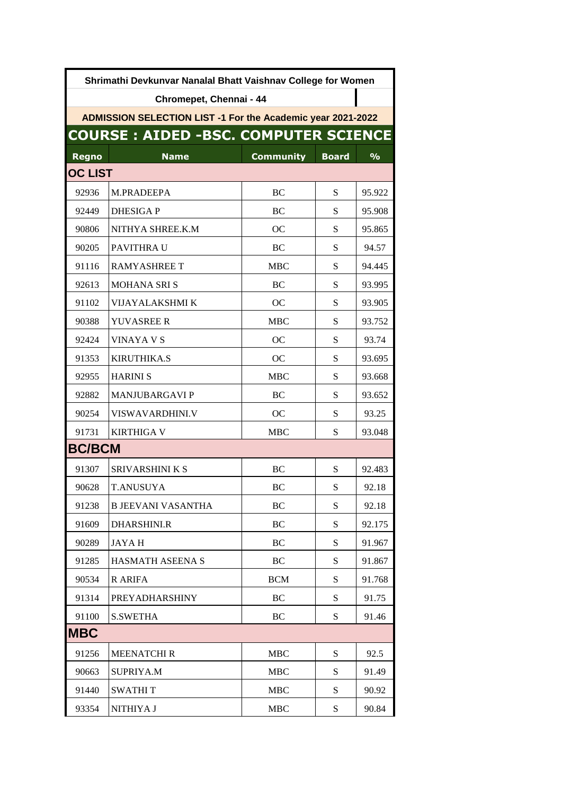| Shrimathi Devkunvar Nanalal Bhatt Vaishnav College for Women |                                             |                  |              |               |  |  |
|--------------------------------------------------------------|---------------------------------------------|------------------|--------------|---------------|--|--|
|                                                              | Chromepet, Chennai - 44                     |                  |              |               |  |  |
| ADMISSION SELECTION LIST -1 For the Academic year 2021-2022  |                                             |                  |              |               |  |  |
|                                                              | <b>COURSE: AIDED -BSC. COMPUTER SCIENCE</b> |                  |              |               |  |  |
| <b>Regno</b>                                                 | <b>Name</b>                                 | <b>Community</b> | <b>Board</b> | $\frac{9}{6}$ |  |  |
| <b>OC LIST</b>                                               |                                             |                  |              |               |  |  |
| 92936                                                        | M.PRADEEPA                                  | BC               | S            | 95.922        |  |  |
| 92449                                                        | <b>DHESIGAP</b>                             | ВC               | S            | 95.908        |  |  |
| 90806                                                        | NITHYA SHREE.K.M                            | OС               | S            | 95.865        |  |  |
| 90205                                                        | PAVITHRA U                                  | ВC               | S            | 94.57         |  |  |
| 91116                                                        | <b>RAMYASHREE T</b>                         | <b>MBC</b>       | S            | 94.445        |  |  |
| 92613                                                        | <b>MOHANA SRIS</b>                          | BC               | S            | 93.995        |  |  |
| 91102                                                        | VIJAYALAKSHMI K                             | OC.              | S            | 93.905        |  |  |
| 90388                                                        | <b>YUVASREE R</b>                           | <b>MBC</b>       | S            | 93.752        |  |  |
| 92424                                                        | <b>VINAYA V S</b>                           | OC.              | S            | 93.74         |  |  |
| 91353                                                        | <b>KIRUTHIKA.S</b>                          | OC               | S            | 93.695        |  |  |
| 92955                                                        | <b>HARINI S</b>                             | <b>MBC</b>       | S            | 93.668        |  |  |
| 92882                                                        | <b>MANJUBARGAVI P</b>                       | ВC               | S            | 93.652        |  |  |
| 90254                                                        | VISWAVARDHINI.V                             | OC               | S            | 93.25         |  |  |
| 91731                                                        | <b>KIRTHIGA V</b>                           | <b>MBC</b>       | S            | 93.048        |  |  |
| <b>BC/BCM</b>                                                |                                             |                  |              |               |  |  |
| 91307                                                        | <b>SRIVARSHINI K S</b>                      | BC               | S            | 92.483        |  |  |
| 90628                                                        | <b>T.ANUSUYA</b>                            | BC               | S            | 92.18         |  |  |
| 91238                                                        | <b>B JEEVANI VASANTHA</b>                   | BC               | S            | 92.18         |  |  |
| 91609                                                        | DHARSHINI.R                                 | BC               | S            | 92.175        |  |  |
| 90289                                                        | JAYA H                                      | BC               | ${\bf S}$    | 91.967        |  |  |
| 91285                                                        | HASMATH ASEENA S                            | BC               | ${\bf S}$    | 91.867        |  |  |
| 90534                                                        | <b>R ARIFA</b>                              | <b>BCM</b>       | ${\bf S}$    | 91.768        |  |  |
| 91314                                                        | <b>PREYADHARSHINY</b>                       | BC               | S            | 91.75         |  |  |
| 91100                                                        | <b>S.SWETHA</b>                             | BC               | ${\bf S}$    | 91.46         |  |  |
| <b>MBC</b>                                                   |                                             |                  |              |               |  |  |
| 91256                                                        | <b>MEENATCHIR</b>                           | <b>MBC</b>       | S            | 92.5          |  |  |
| 90663                                                        | <b>SUPRIYA.M</b>                            | MBC              | S            | 91.49         |  |  |
| 91440                                                        | <b>SWATHIT</b>                              | <b>MBC</b>       | ${\bf S}$    | 90.92         |  |  |
| 93354                                                        | NITHIYA J                                   | <b>MBC</b>       | ${\bf S}$    | 90.84         |  |  |